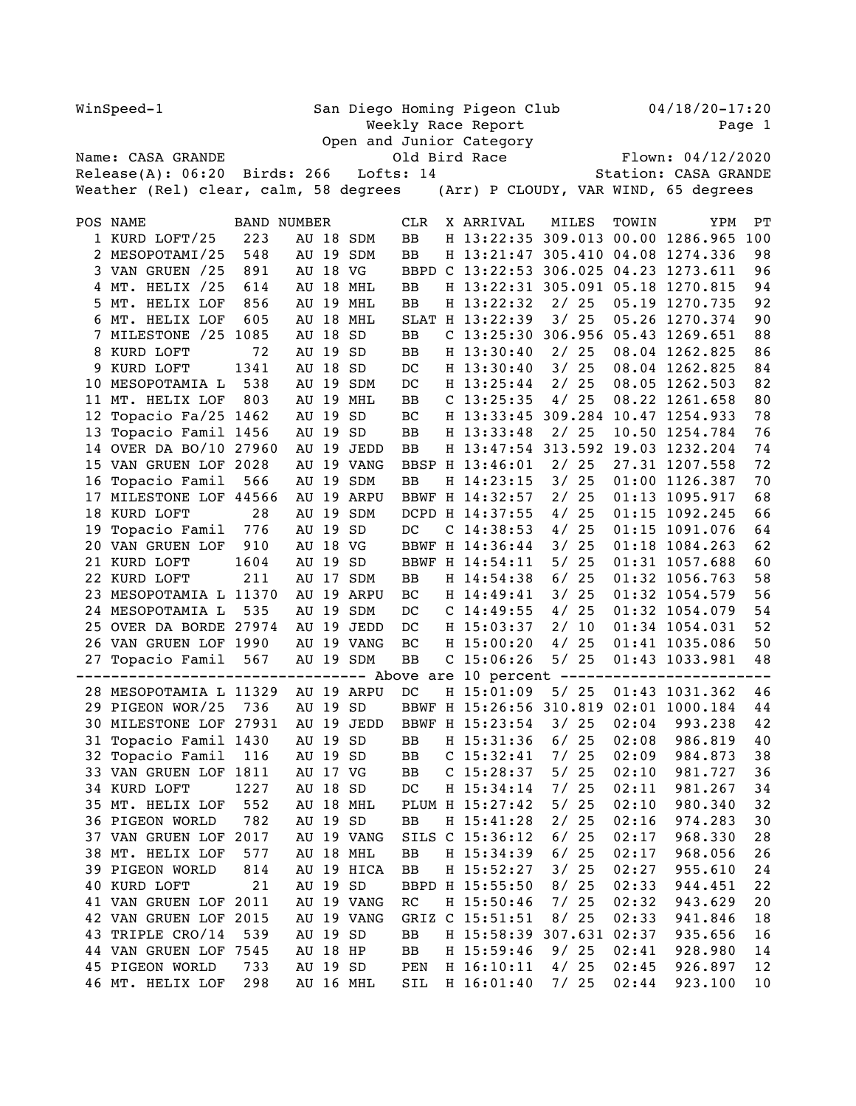| WinSpeed-1 |                                                                            |                    |                                           |          | San Diego Homing Pigeon Club<br>Weekly Race Report |                                 |  |                           |    |         |       |                                        | $04/18/20 - 17:20$<br>Page 1 |  |  |  |
|------------|----------------------------------------------------------------------------|--------------------|-------------------------------------------|----------|----------------------------------------------------|---------------------------------|--|---------------------------|----|---------|-------|----------------------------------------|------------------------------|--|--|--|
|            |                                                                            |                    | Open and Junior Category<br>Old Bird Race |          |                                                    |                                 |  |                           |    |         |       |                                        |                              |  |  |  |
|            | Name: CASA GRANDE                                                          |                    |                                           |          |                                                    |                                 |  |                           |    |         |       | Flown: 04/12/2020                      |                              |  |  |  |
|            | $\text{Release}(A): 06:20$ Birds: 266                                      |                    |                                           |          |                                                    | Lofts: 14                       |  |                           |    |         |       | Station: CASA GRANDE                   |                              |  |  |  |
|            | Weather (Rel) clear, calm, 58 degrees (Arr) P CLOUDY, VAR WIND, 65 degrees |                    |                                           |          |                                                    |                                 |  |                           |    |         |       |                                        |                              |  |  |  |
|            | POS NAME                                                                   | <b>BAND NUMBER</b> |                                           |          |                                                    | CLR                             |  | X ARRIVAL                 |    | MILES   | TOWIN | YPM                                    | РT                           |  |  |  |
|            | 1 KURD LOFT/25                                                             | 223                |                                           |          | AU 18 SDM                                          | BB                              |  | H 13:22:35                |    |         |       | 309.013 00.00 1286.965                 | 100                          |  |  |  |
|            | 2 MESOPOTAMI/25                                                            | 548                |                                           |          | AU 19 SDM                                          | BB                              |  |                           |    |         |       | H 13:21:47 305.410 04.08 1274.336      | 98                           |  |  |  |
|            | 3 VAN GRUEN /25                                                            | 891                |                                           | AU 18 VG |                                                    |                                 |  | BBPD C 13:22:53           |    |         |       | 306.025 04.23 1273.611                 | 96                           |  |  |  |
|            | 4 MT. HELIX /25                                                            | 614                |                                           |          | AU 18 MHL                                          | BB                              |  |                           |    |         |       | H 13:22:31 305.091 05.18 1270.815      | 94                           |  |  |  |
| 5.         | MT. HELIX LOF                                                              | 856                |                                           |          | AU 19 MHL                                          | BB                              |  | H 13:22:32                |    | 2/25    |       | 05.19 1270.735                         | 92                           |  |  |  |
|            | 6 MT. HELIX LOF                                                            | 605                | AU                                        |          | 18 MHL                                             |                                 |  | SLAT H 13:22:39           |    | 3/25    |       | 05.26 1270.374                         | 90                           |  |  |  |
|            | 7 MILESTONE /25                                                            | 1085               |                                           | AU 18    | SD                                                 | BB                              |  |                           |    |         |       | C 13:25:30 306.956 05.43 1269.651      | 88                           |  |  |  |
|            | 8 KURD LOFT                                                                | 72                 | AU                                        | 19       | SD                                                 | BB                              |  | H 13:30:40                |    | 2/25    |       | 08.04 1262.825                         | 86                           |  |  |  |
|            | 9 KURD LOFT                                                                | 1341               |                                           | AU 18    | SD                                                 | DC                              |  | H 13:30:40                |    | 3/25    |       | 08.04 1262.825                         | 84                           |  |  |  |
| 10         | MESOPOTAMIA L                                                              | 538                | AU                                        |          | 19 SDM                                             | DC                              |  | H 13:25:44                |    | 2/25    |       | 08.05 1262.503                         | 82                           |  |  |  |
|            | 11 MT. HELIX LOF                                                           | 803                |                                           |          | AU 19 MHL                                          | BB                              |  | C $13:25:35$              |    | 4/25    |       | 08.22 1261.658                         | 80                           |  |  |  |
| 12         | Topacio Fa/25 1462                                                         |                    |                                           | AU 19    | SD                                                 | BC                              |  | H 13:33:45                |    | 309.284 |       | 10.47 1254.933                         | 78                           |  |  |  |
| 13         | Topacio Famil 1456                                                         |                    | AU                                        | 19       | SD                                                 | BB                              |  | H 13:33:48                |    | 2/25    |       | 10.50 1254.784                         | 76                           |  |  |  |
|            | 14 OVER DA BO/10 27960                                                     |                    |                                           |          | AU 19 JEDD                                         | ВB                              |  | H 13:47:54                |    |         |       | 313.592 19.03 1232.204                 | 74                           |  |  |  |
|            | 15 VAN GRUEN LOF 2028                                                      |                    | AU                                        |          | 19 VANG                                            | BBSP                            |  | H 13:46:01                |    | 2/25    |       | 27.31 1207.558                         | 72                           |  |  |  |
|            | 16 Topacio Famil                                                           | 566                |                                           | AU 19    | SDM                                                | BB                              |  | H 14:23:15                | 3/ | 25      |       | 01:00 1126.387                         | 70                           |  |  |  |
|            | 17 MILESTONE LOF 44566                                                     |                    | AU                                        |          | 19 ARPU                                            |                                 |  | BBWF H 14:32:57           | 2/ | 25      |       | 01:13 1095.917                         | 68                           |  |  |  |
|            | 18 KURD LOFT                                                               | 28                 |                                           | AU 19    | SDM                                                |                                 |  | DCPD H 14:37:55           | 4/ | 25      |       | $01:15$ 1092.245                       | 66                           |  |  |  |
|            | 19 Topacio Famil                                                           | 776                |                                           | AU 19    | SD                                                 | DC                              |  | $C$ 14:38:53              | 4/ | 25      |       | 01:15 1091.076                         | 64                           |  |  |  |
|            | 20 VAN GRUEN LOF                                                           | 910                |                                           | AU 18    | VG                                                 | <b>BBWF</b>                     |  | H 14:36:44                | 3/ | 25      |       | 01:18 1084.263                         | 62                           |  |  |  |
|            | 21 KURD LOFT                                                               | 1604               |                                           | AU 19 SD |                                                    |                                 |  | BBWF H 14:54:11           | 5/ | 25      |       | 01:31 1057.688                         | 60                           |  |  |  |
|            | 22 KURD LOFT                                                               | 211                |                                           |          | AU 17 SDM                                          | BB                              |  | H 14:54:38                | 6/ | 25      |       | 01:32 1056.763                         | 58                           |  |  |  |
|            | 23 MESOPOTAMIA L 11370                                                     |                    | AU                                        |          | 19 ARPU                                            | BC                              |  | H 14:49:41                | 3/ | 25      |       | 01:32 1054.579                         | 56                           |  |  |  |
|            | 24 MESOPOTAMIA L                                                           | 535                |                                           |          | AU 19 SDM                                          | DC                              |  | $C$ 14:49:55              | 4/ | 25      |       | 01:32 1054.079                         | 54                           |  |  |  |
| 25.        | OVER DA BORDE 27974                                                        |                    |                                           |          | AU 19 JEDD                                         | DC                              |  | H 15:03:37                | 2/ | 10      |       | 01:34 1054.031                         | 52                           |  |  |  |
|            | 26 VAN GRUEN LOF 1990                                                      |                    |                                           |          | AU 19 VANG                                         | ВC                              |  | H 15:00:20                |    | 4/25    |       | 01:41 1035.086                         | 50                           |  |  |  |
|            | 27 Topacio Famil                                                           | 567                |                                           |          | AU 19 SDM                                          | BB                              |  | $C$ 15:06:26              |    | 5/25    |       | 01:43 1033.981                         | 48                           |  |  |  |
|            |                                                                            |                    |                                           |          |                                                    |                                 |  | -- Above are 10 percent - |    | ------  |       |                                        |                              |  |  |  |
|            | 28 MESOPOTAMIA L 11329                                                     |                    |                                           |          | AU 19 ARPU                                         | DC                              |  | H 15:01:09                |    | 5/25    |       | 01:43 1031.362                         | 46                           |  |  |  |
|            | 29 PIGEON WOR/25                                                           | 736                |                                           | AU 19 SD |                                                    |                                 |  |                           |    |         |       | BBWF H 15:26:56 310.819 02:01 1000.184 | 44                           |  |  |  |
|            | 30 MILESTONE LOF 27931                                                     |                    |                                           |          | AU 19 JEDD                                         |                                 |  | BBWF H 15:23:54           |    |         |       | 3/ 25 02:04 993.238                    | 42                           |  |  |  |
|            | 31 Topacio Famil 1430                                                      |                    |                                           | AU 19 SD |                                                    | ВB                              |  | H 15:31:36                |    | 6/25    | 02:08 | 986.819                                | 40                           |  |  |  |
|            | 32 Topacio Famil                                                           | 116                |                                           | AU 19 SD |                                                    | BB                              |  | $C$ 15:32:41              | 7/ | 25      | 02:09 | 984.873                                | 38                           |  |  |  |
|            | 33 VAN GRUEN LOF 1811                                                      |                    |                                           | AU 17 VG |                                                    | BB                              |  | $C$ 15:28:37              | 5/ | 25      | 02:10 | 981.727                                | 36                           |  |  |  |
|            | 34 KURD LOFT                                                               | 1227               |                                           | AU 18    | SD                                                 | DC                              |  | H 15:34:14                | 7/ | 25      | 02:11 | 981.267                                | 34                           |  |  |  |
|            | 35 MT. HELIX LOF                                                           | 552                |                                           |          | AU 18 MHL                                          |                                 |  | PLUM H 15:27:42           | 5/ | 25      | 02:10 | 980.340                                | 32                           |  |  |  |
|            | 36 PIGEON WORLD                                                            | 782                |                                           | AU 19 SD |                                                    | ВB                              |  | H 15:41:28                | 2/ | 25      | 02:16 | 974.283                                | 30                           |  |  |  |
|            | 37 VAN GRUEN LOF 2017                                                      |                    |                                           |          | AU 19 VANG                                         | SILS                            |  | $C$ 15:36:12              |    | 6/25    | 02:17 | 968.330                                | 28                           |  |  |  |
|            | 38 MT. HELIX LOF                                                           | 577                |                                           |          | AU 18 MHL                                          | ВB                              |  | H 15:34:39                |    | 6/25    | 02:17 | 968.056                                | 26                           |  |  |  |
|            | 39 PIGEON WORLD                                                            | 814                |                                           |          | AU 19 HICA                                         | BB                              |  | H 15:52:27                | 3/ | 25      | 02:27 | 955.610                                | 24                           |  |  |  |
|            | 40 KURD LOFT                                                               | 21                 |                                           | AU 19 SD |                                                    |                                 |  | BBPD H 15:55:50           |    | 8/25    | 02:33 | 944.451                                | 22                           |  |  |  |
|            | 41 VAN GRUEN LOF                                                           | 2011               |                                           |          | AU 19 VANG                                         | $\mathbb{R}\mathbb{C}$          |  | H 15:50:46                | 7/ | 25      | 02:32 | 943.629                                | 20                           |  |  |  |
|            | 42 VAN GRUEN LOF 2015                                                      |                    |                                           |          | AU 19 VANG                                         | GRIZ                            |  | $C$ 15:51:51              |    | 8/25    | 02:33 | 941.846                                | 18                           |  |  |  |
| 43         | TRIPLE CRO/14                                                              | 539                |                                           | AU 19 SD |                                                    | BB                              |  | H 15:58:39                |    | 307.631 | 02:37 | 935.656                                | 16                           |  |  |  |
|            | 44 VAN GRUEN LOF 7545                                                      |                    |                                           | AU 18 HP |                                                    | ВB                              |  | H 15:59:46                |    | 9/25    | 02:41 | 928.980                                | 14                           |  |  |  |
|            | 45 PIGEON WORLD                                                            | 733                |                                           | AU 19 SD |                                                    | $\ensuremath{\mathop{\rm PEN}}$ |  | H 16:10:11                |    | 4/25    | 02:45 | 926.897                                | 12                           |  |  |  |
|            | 46 MT. HELIX LOF                                                           | 298                |                                           |          | AU 16 MHL                                          | SIL                             |  | H 16:01:40                |    | 7/25    | 02:44 | 923.100                                | 10                           |  |  |  |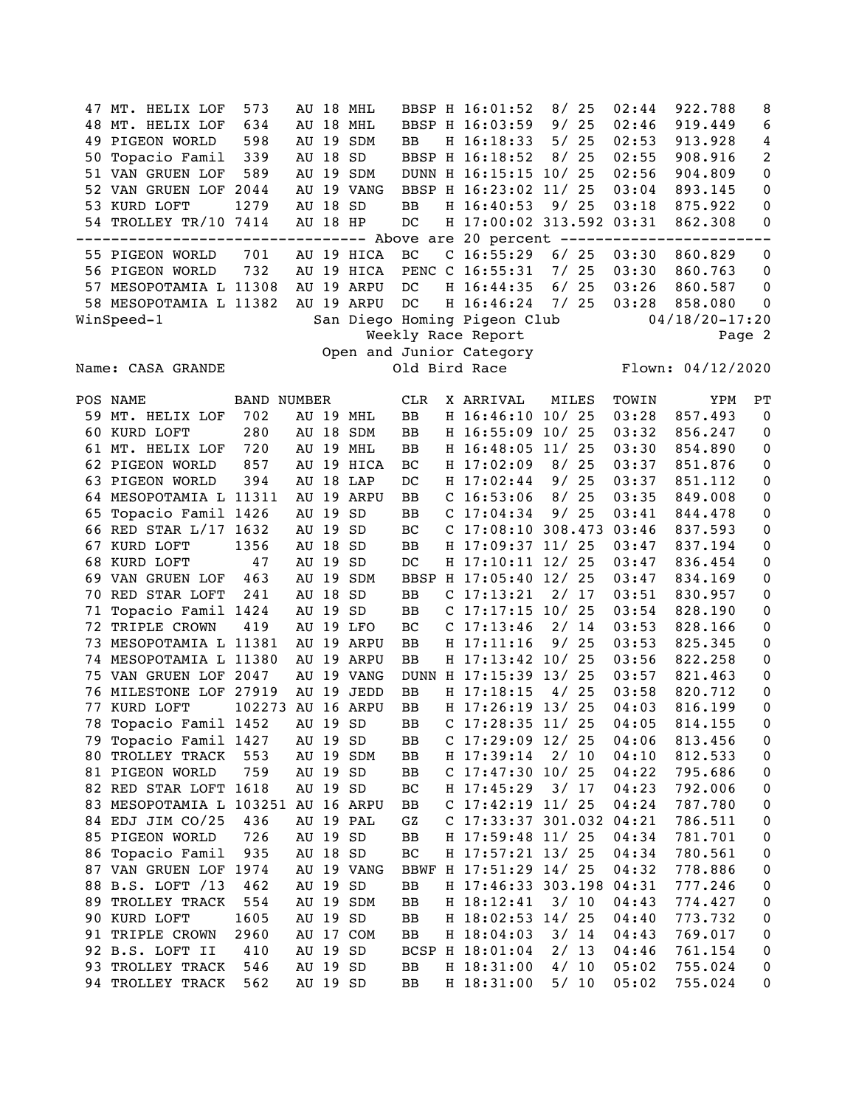47 MT. HELIX LOF 573 AU 18 MHL BBSP H 16:01:52 8/ 25 02:44 922.788 8 48 MT. HELIX LOF 634 AU 18 MHL BBSP H 16:03:59 9/ 25 02:46 919.449 6 49 PIGEON WORLD 598 AU 19 SDM BB H 16:18:33 5/ 25 02:53 913.928 4 50 Topacio Famil 339 AU 18 SD BBSP H 16:18:52 8/ 25 02:55 908.916 2 51 VAN GRUEN LOF 589 AU 19 SDM DUNN H 16:15:15 10/ 25 02:56 904.809 0 52 VAN GRUEN LOF 2044 AU 19 VANG BBSP H 16:23:02 11/ 25 03:04 893.145 0 53 KURD LOFT 1279 AU 18 SD BB H 16:40:53 9/ 25 03:18 875.922 0<br>54 TROLLEY TR/10 7414 AU 18 HP DC H 17:00:02 313.592 03:31 862.308 0 54 TROLLEY TR/10 7414 AU 18 HP DC H 17:00:02 313.592 03:31 862.308 0 --------------------------------- Above are 20 percent ------------------------ 55 PIGEON WORLD 701 AU 19 HICA BC C 16:55:29 6/ 25 03:30 860.829 0 56 PIGEON WORLD 732 AU 19 HICA PENC C 16:55:31 7/ 25 03:30 860.763 0 57 MESOPOTAMIA L 11308 AU 19 ARPU DC H 16:44:35 6/ 25 03:26 860.587 0 58 MESOPOTAMIA L 11382 AU 19 ARPU DC H 16:46:24 7/ 25 03:28 858.080 0 WinSpeed-1 San Diego Homing Pigeon Club 04/18/20-17:20 Weekly Race Report Page 2 Open and Junior Category Name: CASA GRANDE **Old Bird Race** Flown: 04/12/2020 POS NAME BAND NUMBER CLR X ARRIVAL MILES TOWIN YPM PT 59 MT. HELIX LOF 702 AU 19 MHL BB H 16:46:10 10/ 25 03:28 857.493 0 60 KURD LOFT 280 AU 18 SDM BB H 16:55:09 10/ 25 03:32 856.247 0 61 MT. HELIX LOF 720 AU 19 MHL BB H 16:48:05 11/ 25 03:30 854.890 0 62 PIGEON WORLD 857 AU 19 HICA BC H 17:02:09 8/ 25 03:37 851.876 0 63 PIGEON WORLD 394 AU 18 LAP DC H 17:02:44 9/ 25 03:37 851.112 0 64 MESOPOTAMIA L 11311 AU 19 ARPU BB C 16:53:06 8/ 25 03:35 849.008 0 65 Topacio Famil 1426 AU 19 SD BB C 17:04:34 9/ 25 03:41 844.478 0 AU 19 SD BC C 17:08:10 308.473 03:46 837.593 0 67 KURD LOFT 1356 AU 18 SD BB H 17:09:37 11/ 25 03:47 837.194 0 68 KURD LOFT 47 AU 19 SD DC H 17:10:11 12/ 25 03:47 836.454 0 69 VAN GRUEN LOF 463 AU 19 SDM BBSP H 17:05:40 12/ 25 03:47 834.169 0 70 RED STAR LOFT 241 AU 18 SD BB C 17:13:21 2/ 17 03:51 830.957 0 71 Topacio Famil 1424 AU 19 SD BB C 17:17:15 10/ 25 03:54 828.190 0 72 TRIPLE CROWN 419 AU 19 LFO BC C 17:13:46 2/ 14 03:53 828.166 0 73 MESOPOTAMIA L 11381 AU 19 ARPU BB H 17:11:16 9/ 25 03:53 825.345 0 74 MESOPOTAMIA L 11380 AU 19 ARPU BB H 17:13:42 10/ 25 03:56 822.258 0 75 VAN GRUEN LOF 2047 AU 19 VANG DUNN H 17:15:39 13/ 25 03:57 821.463 0 76 MILESTONE LOF 27919 AU 19 JEDD BB H 17:18:15 4/ 25 03:58 820.712 0 77 KURD LOFT 102273 AU 16 ARPU BB H 17:26:19 13/ 25 04:03 816.199 0 78 Topacio Famil 1452 AU 19 SD BB C 17:28:35 11/ 25 04:05 814.155 0 79 Topacio Famil 1427 AU 19 SD BB C 17:29:09 12/ 25 04:06 813.456 0 80 TROLLEY TRACK 553 AU 19 SDM BB H 17:39:14 2/ 10 04:10 812.533 0 81 PIGEON WORLD 759 AU 19 SD BB C 17:47:30 10/ 25 04:22 795.686 0 82 RED STAR LOFT 1618 AU 19 SD BC H 17:45:29 3/ 17 04:23 792.006 0 83 MESOPOTAMIA L 103251 AU 16 ARPU BB C 17:42:19 11/ 25 04:24 787.780 0 84 EDJ JIM CO/25 436 AU 19 PAL GZ C 17:33:37 301.032 04:21 786.511 0 85 PIGEON WORLD 726 AU 19 SD BB H 17:59:48 11/ 25 04:34 781.701 0<br>86 Topacio Famil 935 AU 18 SD BC H 17:57:21 13/ 25 04:34 780.561 0 86 Topacio Famil 935 AU 18 SD BC H 17:57:21 13/ 25 04:34 780.561 0 87 VAN GRUEN LOF 1974 AU 19 VANG BBWF H 17:51:29 14/ 25 04:32 778.886 0 88 B.S. LOFT /13 462 AU 19 SD BB H 17:46:33 303.198 04:31 777.246 0 89 TROLLEY TRACK 554 AU 19 SDM BB H 18:12:41 3/ 10 04:43 774.427 0 90 KURD LOFT 1605 AU 19 SD BB H 18:02:53 14/ 25 04:40 773.732 0<br>91 TRIPLE CROWN 2960 AU 17 COM BB H 18:04:03 3/ 14 04:43 769.017 0 91 TRIPLE CROWN 2960 AU 17 COM BB H 18:04:03 3/ 14 04:43 769.017 0<br>92 B.S. LOFT II 410 AU 19 SD BCSP H 18:01:04 2/ 13 04:46 761.154 0 92 B.S. LOFT II 410 AU 19 SD BCSP H 18:01:04 2/ 13 04:46 761.154 0 93 TROLLEY TRACK 546 AU 19 SD BB H 18:31:00 4/ 10 05:02 755.024 0 94 TROLLEY TRACK 562 AU 19 SD BB H 18:31:00 5/ 10 05:02 755.024 0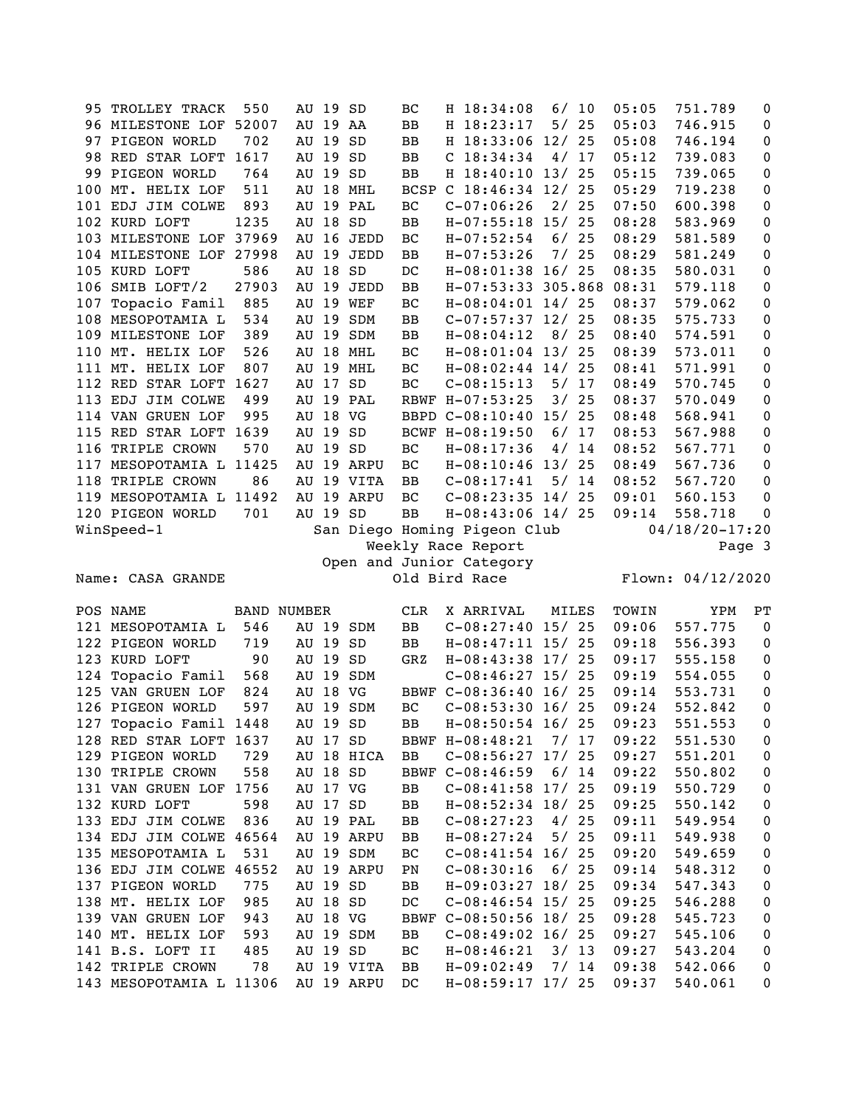|     | 95 TROLLEY TRACK                            | 550                | AU 19 SD |          |                          | BC          | H 18:34:08                        | 6/    | 10   | 05:05          | 751.789            | 0           |
|-----|---------------------------------------------|--------------------|----------|----------|--------------------------|-------------|-----------------------------------|-------|------|----------------|--------------------|-------------|
|     | 96 MILESTONE LOF 52007                      |                    | AU 19 AA |          |                          | BB          | H 18:23:17                        | 5/25  |      | 05:03          | 746.915            | 0           |
|     | 97 PIGEON WORLD                             | 702                | AU 19    |          | SD                       | BB          | H 18:33:06 12/                    |       | 25   | 05:08          | 746.194            | $\pmb{0}$   |
|     | 98 RED STAR LOFT 1617                       |                    | AU 19    |          | SD                       | BB          | $C$ 18:34:34                      | 4/17  |      | 05:12          | 739.083            | $\pmb{0}$   |
| 99  | PIGEON WORLD                                | 764                | AU 19 SD |          |                          | BB          | H 18:40:10 13/ 25                 |       |      | 05:15          | 739.065            | $\pmb{0}$   |
| 100 | MT. HELIX LOF                               | 511                |          |          | AU 18 MHL                | <b>BCSP</b> | C $18:46:34$ $12/25$              |       |      | 05:29          | 719.238            | $\pmb{0}$   |
|     | 101 EDJ JIM COLWE                           | 893                |          |          | AU 19 PAL                | BC          | $C-07:06:26$                      | 2/25  |      | 07:50          | 600.398            | $\pmb{0}$   |
|     | 102 KURD LOFT                               | 1235               |          | AU 18 SD |                          | BB          | $H-07:55:18$ 15/ 25               |       |      | 08:28          | 583.969            | $\pmb{0}$   |
|     | 103 MILESTONE LOF 37969                     |                    |          |          | AU 16 JEDD               | BC          | $H-07:52:54$                      | 6/25  |      | 08:29          | 581.589            | $\pmb{0}$   |
|     | 104 MILESTONE LOF                           | 27998              | AU 19    |          | JEDD                     | BB          | $H-07:53:26$                      |       | 7/25 | 08:29          | 581.249            | $\pmb{0}$   |
|     | 105 KURD LOFT                               | 586                | AU       | 18 SD    |                          | DC          | H-08:01:38 16/ 25                 |       |      | 08:35          | 580.031            | $\pmb{0}$   |
|     | 106 SMIB LOFT/2                             | 27903              | AU       | 19       | JEDD                     | BB          | H-07:53:33 305.868                |       |      | 08:31          | 579.118            | $\pmb{0}$   |
|     | 107 Topacio Famil                           | 885                | AU       |          | 19 WEF                   | BC          | $H-08:04:01$ 14/25                |       |      | 08:37          | 579.062            | $\pmb{0}$   |
|     | 108 MESOPOTAMIA L                           | 534                |          |          | AU 19 SDM                | BB          | $C-07:57:37$ 12/ 25               |       |      | 08:35          | 575.733            | $\pmb{0}$   |
|     | 109 MILESTONE LOF                           | 389                |          |          | AU 19 SDM                | BB          | $H-08:04:12$                      | 8/25  |      | 08:40          | 574.591            | 0           |
|     | 110 MT. HELIX LOF                           | 526                |          |          | AU 18 MHL                | BC          | $H-08:01:04$ 13/                  |       | 25   | 08:39          | 573.011            | 0           |
|     | 111 MT. HELIX LOF                           | 807                |          |          | AU 19 MHL                | BC          | $H-08:02:44$ 14/25                |       |      | 08:41          | 571.991            | $\pmb{0}$   |
|     | 112 RED STAR LOFT 1627                      |                    | AU 17    |          | SD                       | BC          | $C-08:15:13$                      | 5/17  |      | 08:49          | 570.745            | $\pmb{0}$   |
|     | 113 EDJ JIM COLWE                           | 499                |          |          | AU 19 PAL                |             | RBWF H-07:53:25                   | 3/    | 25   | 08:37          | 570.049            | $\pmb{0}$   |
|     | 114 VAN GRUEN LOF                           | 995                | AU 18 VG |          |                          |             | BBPD C-08:10:40 15/               |       | 25   | 08:48          | 568.941            | $\pmb{0}$   |
|     | 115 RED STAR LOFT 1639                      |                    | AU 19 SD |          |                          |             | BCWF H-08:19:50                   | 6/17  |      | 08:53          | 567.988            | $\pmb{0}$   |
|     | 116 TRIPLE CROWN                            | 570                |          | AU 19 SD |                          | BC          | $H-08:17:36$                      | 4/    | 14   | 08:52          | 567.771            | $\pmb{0}$   |
|     | 117 MESOPOTAMIA L 11425                     |                    |          |          | AU 19 ARPU               | BC          | $H-08:10:46$ 13/25                |       |      | 08:49          | 567.736            | $\pmb{0}$   |
| 118 | TRIPLE CROWN                                | 86                 |          |          | AU 19 VITA               | BB          | $C-08:17:41$                      | 5/14  |      | 08:52          | 567.720            | $\mathbf 0$ |
|     | 119 MESOPOTAMIA L 11492                     |                    |          |          | AU 19 ARPU               | BC          | $C-08:23:35$ 14/25                |       |      | 09:01          | 560.153            | $\mathbf 0$ |
|     | 120 PIGEON WORLD                            | 701                |          | AU 19 SD |                          | <b>BB</b>   | $H-08:43:06$ 14/25                |       |      | 09:14          | 558.718            | $\pmb{0}$   |
|     | WinSpeed-1                                  |                    |          |          |                          |             | San Diego Homing Pigeon Club      |       |      |                | $04/18/20 - 17:20$ |             |
|     |                                             |                    |          |          |                          |             | Weekly Race Report                |       |      |                |                    | Page 3      |
|     |                                             |                    |          |          |                          |             | Open and Junior Category          |       |      |                |                    |             |
|     | Name: CASA GRANDE                           |                    |          |          |                          |             | Old Bird Race                     |       |      |                | Flown: 04/12/2020  |             |
|     |                                             |                    |          |          |                          |             |                                   |       |      |                |                    |             |
|     |                                             |                    |          |          |                          |             |                                   |       |      |                |                    |             |
|     | POS NAME                                    | <b>BAND NUMBER</b> |          |          |                          | CLR         | X ARRIVAL                         | MILES |      | TOWIN          | YPM                | PT          |
|     |                                             |                    |          |          |                          |             |                                   |       |      |                |                    |             |
|     | 121 MESOPOTAMIA L                           | 546                |          |          | AU 19 SDM                | $_{\rm BB}$ | $C-08:27:40$ 15/25                |       |      | 09:06<br>09:18 | 557.775            | $\mathbf 0$ |
|     | 122 PIGEON WORLD                            | 719                | AU 19    |          | SD                       | BB          | $H-08:47:11$ 15/ 25               |       |      |                | 556.393            | $\mathbf 0$ |
|     | 123 KURD LOFT                               | 90                 | AU 19    |          | SD                       | GRZ         | H-08:43:38 17/ 25                 |       |      | 09:17          | 555.158            | $\pmb{0}$   |
|     | 124 Topacio Famil                           | 568                |          |          | AU 19 SDM                |             | $C-08:46:27$ 15/ 25               |       |      | 09:19          | 554.055            | $\pmb{0}$   |
|     | 125 VAN GRUEN LOF                           | 824                | AU 18 VG |          |                          | BBWF        | $C-08:36:40$ 16/25                |       |      | 09:14          | 553.731            | 0           |
|     | 126 PIGEON WORLD                            | 597                |          |          | AU 19 SDM                | BC          | $C-08:53:30$ 16/25                |       |      | 09:24          | 552.842            | 0           |
|     | 127 Topacio Famil 1448                      |                    |          | AU 19 SD |                          | BB          | $H-08:50:54$ 16/25                |       |      | 09:23          | 551.553            | $\mathbf 0$ |
|     | 128 RED STAR LOFT 1637                      |                    |          | AU 17 SD |                          |             | BBWF H-08:48:21                   | 7/17  |      | 09:22          | 551.530            | 0           |
|     | 129 PIGEON WORLD                            | 729                |          |          | AU 18 HICA               | BB          | $C-08:56:27$ 17/ 25               |       |      | 09:27          | 551.201            | 0           |
|     | 130 TRIPLE CROWN                            | 558                |          | AU 18 SD |                          |             | BBWF C-08:46:59                   | 6/14  |      | 09:22          | 550.802            | 0           |
|     | 131 VAN GRUEN LOF 1756                      |                    | AU 17 VG |          |                          | BB          | $C-08:41:58$ 17/ 25               |       |      | 09:19          | 550.729            | 0           |
|     | 132 KURD LOFT                               | 598                |          | AU 17 SD |                          | BB          | H-08:52:34 18/ 25                 |       |      | 09:25          | 550.142            | 0           |
|     | 133 EDJ JIM COLWE                           | 836                |          |          | AU 19 PAL                | BB          | $C-08:27:23$                      | 4/    | 25   | 09:11          | 549.954            | 0           |
|     | 134 EDJ JIM COLWE 46564                     |                    |          |          | AU 19 ARPU               | BB          | $H-08:27:24$                      | 5/    | 25   | 09:11          | 549.938            | 0           |
|     | 135 MESOPOTAMIA L                           | 531                |          |          | AU 19 SDM                | ВC          | $C-08:41:54$ 16/25                |       |      | 09:20          | 549.659            | $\pmb{0}$   |
|     | 136 EDJ JIM COLWE 46552                     |                    |          |          | AU 19 ARPU               | PN          | $C-08:30:16$                      | 6/25  |      | 09:14          | 548.312            | $\pmb{0}$   |
|     | 137 PIGEON WORLD                            | 775                |          | AU 19 SD |                          | BB          | $H-09:03:27$ 18/25                |       |      | 09:34          | 547.343            | 0           |
|     | 138 MT. HELIX LOF                           | 985                |          | AU 18 SD |                          | DC          | $C-08:46:54$ 15/ 25               |       |      | 09:25          | 546.288            | $\pmb{0}$   |
|     | 139 VAN GRUEN LOF                           | 943                |          | AU 18 VG |                          |             | BBWF C-08:50:56 18/ 25            |       |      | 09:28          | 545.723            | $\pmb{0}$   |
|     | 140 MT. HELIX LOF                           | 593                |          |          | AU 19 SDM                | BB          | $C-08:49:02$ 16/25                |       |      | 09:27          | 545.106            | 0           |
|     | 141 B.S. LOFT II                            | 485                |          | AU 19 SD |                          | BC          | $H-08:46:21$                      | 3/13  |      | 09:27          | 543.204            | 0           |
|     | 142 TRIPLE CROWN<br>143 MESOPOTAMIA L 11306 | 78                 |          |          | AU 19 VITA<br>AU 19 ARPU | BB<br>DC    | $H-09:02:49$<br>H-08:59:17 17/ 25 | 7/14  |      | 09:38<br>09:37 | 542.066<br>540.061 | 0<br>0      |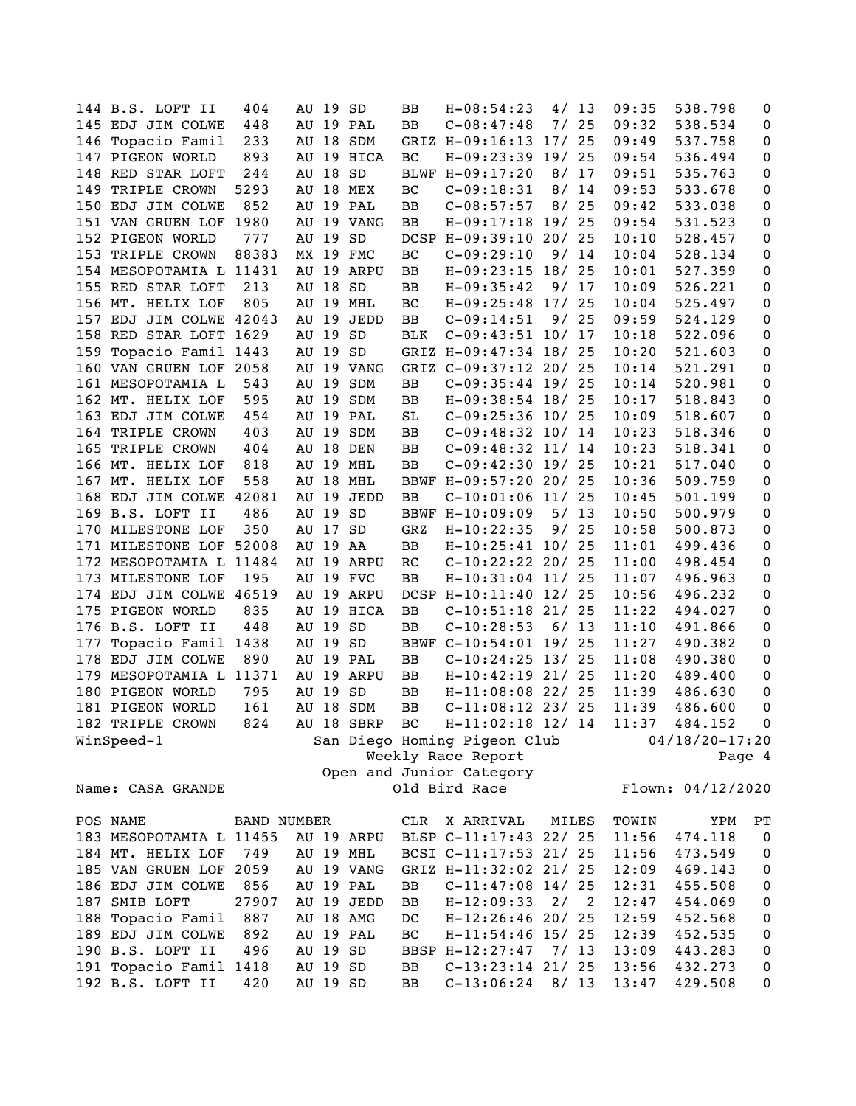|     | 144 B.S. LOFT II        | 404         | AU 19 SD |            | BB         | $H-08:54:23$                 |       | 4/13  | 09:35 | 538.798            | 0                |
|-----|-------------------------|-------------|----------|------------|------------|------------------------------|-------|-------|-------|--------------------|------------------|
|     | 145 EDJ JIM COLWE       | 448         |          | AU 19 PAL  | BB         | $C-08:47:48$                 |       | 7/25  | 09:32 | 538.534            | 0                |
|     | 146 Topacio Famil       | 233         |          | AU 18 SDM  |            | GRIZ H-09:16:13 17/ 25       |       |       | 09:49 | 537.758            | 0                |
|     | 147 PIGEON WORLD        | 893         |          | AU 19 HICA | ВC         | $H-09:23:39$ 19/             |       | 25    | 09:54 | 536.494            | 0                |
|     | 148 RED STAR LOFT       | 244         | AU 18 SD |            |            | BLWF H-09:17:20              | 8/    | 17    | 09:51 | 535.763            | 0                |
|     | 149 TRIPLE CROWN        | 5293        |          | AU 18 MEX  | ВC         | $C-09:18:31$                 | 8/    | 14    | 09:53 | 533.678            | 0                |
|     | 150 EDJ JIM COLWE       | 852         |          | AU 19 PAL  | BB         | $C-08:57:57$                 | 8/    | 25    | 09:42 | 533.038            | 0                |
|     | 151 VAN GRUEN LOF 1980  |             |          | AU 19 VANG | BB         | $H-09:17:18$ 19/             |       | 25    | 09:54 | 531.523            | 0                |
|     | 152 PIGEON WORLD        | 777         | AU 19    | SD         |            | DCSP H-09:39:10 20/ 25       |       |       | 10:10 | 528.457            | 0                |
| 153 | TRIPLE CROWN            | 88383       |          | MX 19 FMC  | ВC         | $C-09:29:10$                 |       | 9/14  | 10:04 | 528.134            | $\pmb{0}$        |
|     | 154 MESOPOTAMIA L 11431 |             |          | AU 19 ARPU | BB         | $H-09:23:15$ 18/             |       | 25    | 10:01 | 527.359            | $\pmb{0}$        |
|     | 155 RED STAR LOFT       | 213         | AU 18 SD |            | ВB         | $H-09:35:42$                 | 9/    | 17    | 10:09 | 526.221            | 0                |
|     | 156 MT. HELIX LOF       | 805         |          | AU 19 MHL  | ВC         | $H-09:25:48$ 17/             |       | 25    | 10:04 | 525.497            | 0                |
|     | 157 EDJ JIM COLWE 42043 |             | AU 19    | JEDD       | BB         | $C-09:14:51$                 |       | 9/25  | 09:59 | 524.129            | $\pmb{0}$        |
|     | 158 RED STAR LOFT 1629  |             | AU 19    | SD         | <b>BLK</b> | $C-09:43:51$ 10/ 17          |       |       | 10:18 | 522.096            | $\pmb{0}$        |
|     | 159 Topacio Famil 1443  |             | AU 19 SD |            |            | GRIZ H-09:47:34 18/ 25       |       |       | 10:20 | 521.603            | 0                |
|     | 160 VAN GRUEN LOF 2058  |             |          | AU 19 VANG |            | GRIZ C-09:37:12 20/ 25       |       |       | 10:14 | 521.291            | 0                |
|     | 161 MESOPOTAMIA L       | 543         |          | AU 19 SDM  | BB         | $C-09:35:44$ 19/ 25          |       |       | 10:14 | 520.981            | $\pmb{0}$        |
|     | 162 MT. HELIX LOF       | 595         |          | AU 19 SDM  | BB         | H-09:38:54 18/ 25            |       |       | 10:17 | 518.843            | 0                |
|     | 163 EDJ JIM COLWE       | 454         |          | AU 19 PAL  | SL         | $C-09:25:36$ 10/25           |       |       | 10:09 | 518.607            | 0                |
|     | 164 TRIPLE CROWN        | 403         |          | AU 19 SDM  | ВB         | $C-09:48:32$ 10/ 14          |       |       | 10:23 | 518.346            | 0                |
| 165 | TRIPLE CROWN            | 404         |          | AU 18 DEN  | BB         | $C-09:48:32$ 11/ 14          |       |       | 10:23 | 518.341            | 0                |
|     | 166 MT. HELIX LOF       | 818         |          | AU 19 MHL  | BB         | $C-09:42:30$ 19/25           |       |       | 10:21 | 517.040            | 0                |
|     | 167 MT. HELIX LOF       | 558         |          | AU 18 MHL  |            | BBWF H-09:57:20 20/ 25       |       |       | 10:36 | 509.759            | $\pmb{0}$        |
|     | 168 EDJ JIM COLWE 42081 |             |          | AU 19 JEDD | BB         | $C-10:01:06$ 11/25           |       |       | 10:45 | 501.199            | $\pmb{0}$        |
|     | 169 B.S. LOFT II        | 486         | AU 19 SD |            |            | BBWF H-10:09:09              |       | 5/13  | 10:50 | 500.979            | $\pmb{0}$        |
|     | 170 MILESTONE LOF       | 350         | AU 17 SD |            | GRZ        | $H-10:22:35$                 |       | 9/25  | 10:58 | 500.873            | 0                |
| 171 | MILESTONE LOF 52008     |             | AU 19 AA |            | BB         | $H-10:25:41$ 10/ 25          |       |       | 11:01 | 499.436            | $\pmb{0}$        |
|     | 172 MESOPOTAMIA L 11484 |             |          | AU 19 ARPU | RC         | $C-10:22:22 20/25$           |       |       | 11:00 | 498.454            | 0                |
|     | 173 MILESTONE LOF       | 195         |          | AU 19 FVC  | BB         | $H-10:31:04$ 11/ 25          |       |       | 11:07 | 496.963            | 0                |
|     | 174 EDJ JIM COLWE 46519 |             |          | AU 19 ARPU |            | DCSP H-10:11:40 12/ 25       |       |       | 10:56 | 496.232            | 0                |
|     | 175 PIGEON WORLD        | 835         |          | AU 19 HICA | BB         | $C-10:51:18$ 21/ 25          |       |       | 11:22 | 494.027            | 0                |
|     | 176 B.S. LOFT II        | 448         | AU 19 SD |            | BB         | $C-10:28:53$                 | 6/ 13 |       | 11:10 | 491.866            | 0                |
| 177 | Topacio Famil 1438      |             | AU 19 SD |            |            | BBWF C-10:54:01 19/          |       | 25    | 11:27 | 490.382            | 0                |
| 178 | EDJ JIM COLWE           | 890         |          | AU 19 PAL  | BB         | $C-10:24:25$ 13/25           |       |       | 11:08 | 490.380            | 0                |
| 179 | MESOPOTAMIA L 11371     |             |          | AU 19 ARPU | BB         | $H-10:42:19$ 21/ 25          |       |       | 11:20 | 489.400            | $\pmb{0}$        |
|     | 180 PIGEON WORLD        | 795         | AU 19    | SD         | BB         | $H-11:08:08$ 22/ 25          |       |       | 11:39 | 486.630            | 0                |
|     | 181 PIGEON WORLD        | 161         |          | AU 18 SDM  | BB         | $C-11:08:12$ 23/ 25          |       |       | 11:39 | 486.600            | 0                |
|     | 182 TRIPLE CROWN        | 824         |          | AU 18 SBRP | BC         | $H-11:02:18$ 12/ 14          |       |       | 11:37 | 484.152            | 0                |
|     | WinSpeed-1              |             |          |            |            | San Diego Homing Pigeon Club |       |       |       | $04/18/20 - 17:20$ |                  |
|     |                         |             |          |            |            | Weekly Race Report           |       |       |       |                    | Page 4           |
|     |                         |             |          |            |            | Open and Junior Category     |       |       |       |                    |                  |
|     | Name: CASA GRANDE       |             |          |            |            | Old Bird Race                |       |       |       | Flown: 04/12/2020  |                  |
|     |                         |             |          |            |            |                              |       |       |       |                    |                  |
|     | POS NAME                | BAND NUMBER |          |            | CLR        | X ARRIVAL                    |       | MILES | TOWIN | YPM                | РT               |
|     | 183 MESOPOTAMIA L 11455 |             |          | AU 19 ARPU |            | BLSP C-11:17:43 22/ 25       |       |       | 11:56 | 474.118            | $\boldsymbol{0}$ |
|     | 184 MT. HELIX LOF       | 749         |          | AU 19 MHL  |            | BCSI C-11:17:53 21/ 25       |       |       | 11:56 | 473.549            | $\boldsymbol{0}$ |
|     |                         |             |          |            |            |                              |       |       |       |                    |                  |
|     | 185 VAN GRUEN LOF 2059  |             |          | AU 19 VANG |            | GRIZ H-11:32:02 21/ 25       |       |       | 12:09 | 469.143            | $\pmb{0}$        |
|     | 186 EDJ JIM COLWE       | 856         |          | AU 19 PAL  | BB         | $C-11:47:08$ 14/25           |       |       | 12:31 | 455.508            | $\boldsymbol{0}$ |
|     | 187 SMIB LOFT           | 27907       |          | AU 19 JEDD | BB         | $H-12:09:33$                 | 2/    | 2     | 12:47 | 454.069            | $\pmb{0}$        |
|     | 188 Topacio Famil       | 887         |          | AU 18 AMG  | DC         | $H-12:26:46$ 20/             |       | 25    | 12:59 | 452.568            | $\pmb{0}$        |
|     | 189 EDJ JIM COLWE       | 892         |          | AU 19 PAL  | ВC         | $H-11:54:46$ 15/ 25          |       |       | 12:39 | 452.535            | $\pmb{0}$        |
|     | 190 B.S. LOFT II        | 496         | AU 19 SD |            |            | BBSP H-12:27:47              |       | 7/13  | 13:09 | 443.283            | $\pmb{0}$        |
|     | 191 Topacio Famil 1418  |             | AU 19 SD |            | BB         | $C-13:23:14$ 21/ 25          |       |       | 13:56 | 432.273            | 0                |
|     | 192 B.S. LOFT II        | 420         | AU 19 SD |            | BB         | $C-13:06:24$                 |       | 8/13  | 13:47 | 429.508            | 0                |